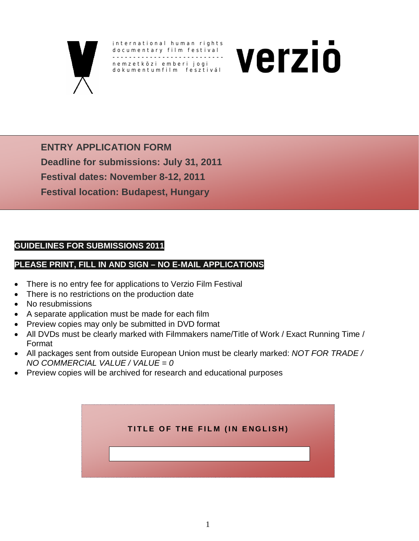

i nternational human rights documentary film festival -------------------------- nemzetközi emberi jogi dokumentumfilm fesztivál



**ENTRY APPLICATION FORM Deadline for submissions: July 31, 2011 Festival dates: November 8-12, 2011 Festival location: Budapest, Hungary**

### **GUIDELINES FOR SUBMISSIONS 2011**

### **PLEASE PRINT, FILL IN AND SIGN – NO E-MAIL APPLICATIONS**

- There is no entry fee for applications to Verzio Film Festival
- There is no restrictions on the production date
- **No resubmissions**
- A separate application must be made for each film
- **Preview copies may only be submitted in DVD format**
- All DVDs must be clearly marked with Filmmakers name/Title of Work / Exact Running Time / Format
- All packages sent from outside European Union must be clearly marked: *NOT FOR TRADE / NO COMMERCIAL VALUE / VALUE = 0*
- Preview copies will be archived for research and educational purposes

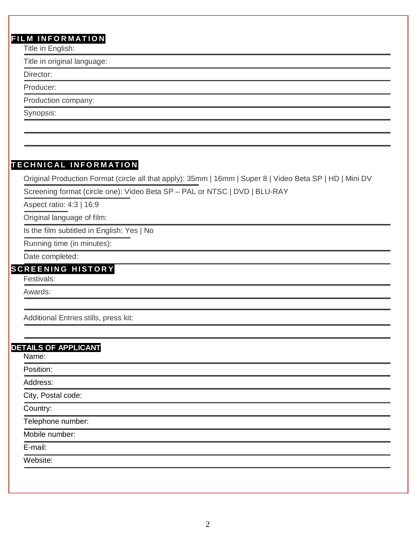## **FILM INFORMATION**

Title in English:

Title in original language:

Director:

Producer:

Production company:

Synopsis:

## **TECHNICAL INFORMATION**

Original Production Format (circle all that apply): 35mm | 16mm | Super 8 | Video Beta SP | HD | Mini DV

Screening format (circle one): Video Beta SP – PAL or NTSC | DVD | BLU-RAY

Aspect ratio: 4:3 | 16:9

Original language of film:

Is the film subtitled in English: Yes | No

Running time (in minutes):

Date completed:

## **SCREENING HISTORY**

Festivals:

Awards:

Additional Entries stills, press kit:

#### **DETAILS OF APPLICANT**

Name:

Position: Address: City, Postal code: Country: Telephone number: Mobile number: E-mail: Website: